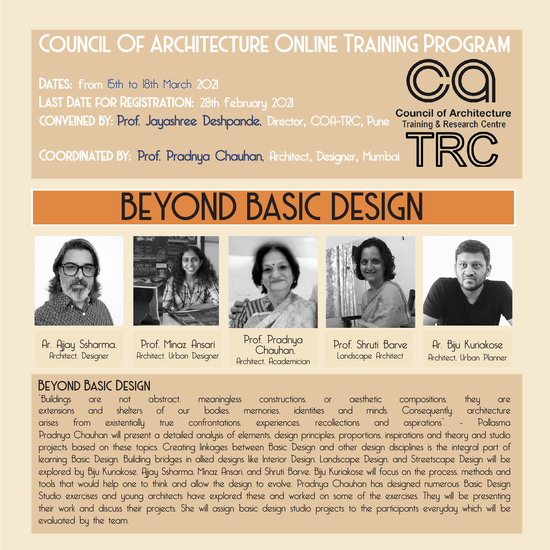## Council Of Architecture Online Training Program

DATES: From 15th to 18th March 2021 LAST DATE FOR REGISTRATION: 28th February 2021 conveined by: Prof. Jayashree Deshpande, Director, COA-TRC, Pune



**Council of Architecture** 

Coordinated by: Prof. Pradnya Chauhan, Architect, Designer, Mumbai



# BEYOND BASIC DESIGN



Ar. Ajjay Ssharma, Architect, Designer



Prof. Minaz Ansari Architect, Urban Designer



Prof. Pradnya Chauhan, Architect, Academician







Ar. Biju Kuriakose Architect, Urban Planner

### Beyond Basic Design

"Buildings are not abstract, meaningless constructions, or aesthetic compositions, they are extensions and shelters of our bodies, memories, identities and minds. Consequently, architecture arises from existentially true confrontations, experiences, recollections and aspirations". - Pallasma Pradnya Chauhan will present a detailed analysis of elements, design principles, proportions, inspirations and theory and studio projects based on these topics. Creating linkages between Basic Design and other design disciplines is the integral part of learning Basic Design. Building bridges in allied designs like Interior Design, Landscape Design, and Streetscape Design will be explored by Biju Kuriakose, Ajjay Ssharma, Minaz Ansari, and Shruti Barve. Biju Kuriakose will focus on the process, methods and tools that would help one to think and allow the design to evolve. Pradnya Chauhan has designed numerous Basic Design Studio exercises and young architects have explored these and worked on some of the exercises. They will be presenting their work and discuss their projects. She will assign basic design studio projects to the participants everyday which will be evaluated by the team.